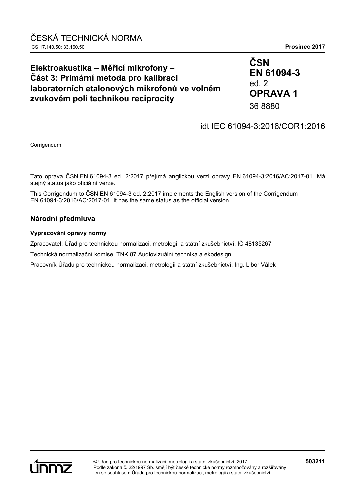| Elektroakustika – Měřicí mikrofony –<br>Část 3: Primární metoda pro kalibraci<br>laboratorních etalonových mikrofonů ve volném<br>zvukovém poli technikou reciprocity | <b>CSN</b><br>EN 61094-3<br>ed. $2$<br><b>OPRAVA1</b> |
|-----------------------------------------------------------------------------------------------------------------------------------------------------------------------|-------------------------------------------------------|
|                                                                                                                                                                       |                                                       |

# idt IEC 61094-3:2016/COR1:2016

Corrigendum

Tato oprava ČSN EN 61094-3 ed. 2:2017 přejímá anglickou verzi opravy EN 61094-3:2016/AC:2017-01. Má stejný status jako oficiální verze.

This Corrigendum to ČSN EN 61094-3 ed. 2:2017 implements the English version of the Corrigendum EN 61094-3:2016/AC:2017-01. It has the same status as the official version.

## **Národní předmluva**

#### **Vypracování opravy normy**

Zpracovatel: Úřad pro technickou normalizaci, metrologii a státní zkušebnictví, IČ 48135267

Technická normalizační komise: TNK 87 Audiovizuální technika a ekodesign

Pracovník Úřadu pro technickou normalizaci, metrologii a státní zkušebnictví: Ing. Libor Válek

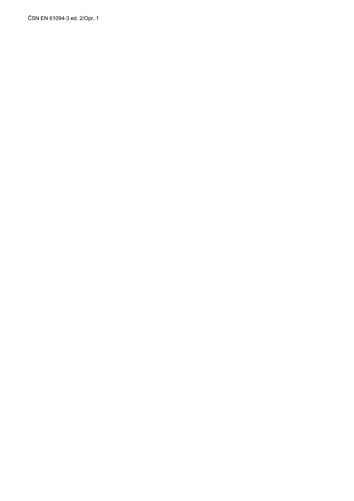ČSN EN 61094-3 ed. 2/Opr. 1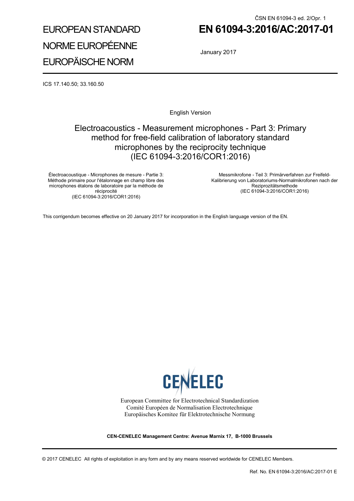# EUROPEAN STANDARD NORME EUROPÉENNE EUROPÄISCHE NORM



January 2017

ICS 17.140.50; 33.160.50

English Version

## Electroacoustics - Measurement microphones - Part 3: Primary method for free-field calibration of laboratory standard microphones by the reciprocity technique (IEC 61094-3:2016/COR1:2016)

Électroacoustique - Microphones de mesure - Partie 3: Méthode primaire pour l'étalonnage en champ libre des microphones étalons de laboratoire par la méthode de réciprocité (IEC 61094-3:2016/COR1:2016)

 Messmikrofone - Teil 3: Primärverfahren zur Freifeld-Kalibrierung von Laboratoriums-Normalmikrofonen nach der Reziprozitätsmethode (IEC 61094-3:2016/COR1:2016)

This corrigendum becomes effective on 20 January 2017 for incorporation in the English language version of the EN.



European Committee for Electrotechnical Standardization Comité Européen de Normalisation Electrotechnique Europäisches Komitee für Elektrotechnische Normung

**CEN-CENELEC Management Centre: Avenue Marnix 17, B-1000 Brussels** 

© 2017 CENELEC All rights of exploitation in any form and by any means reserved worldwide for CENELEC Members.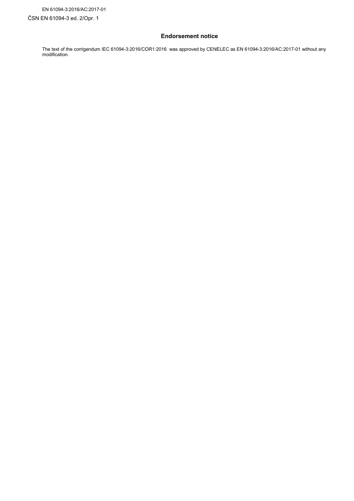EN 61094-3:2016/AC:2017-01

ČSN EN 61094-3 ed. 2/Opr. 1

## **Endorsement notice**

The text of the corrigendum IEC 61094-3:2016/COR1:2016 was approved by CENELEC as EN 61094-3:2016/AC:2017-01 without any modification.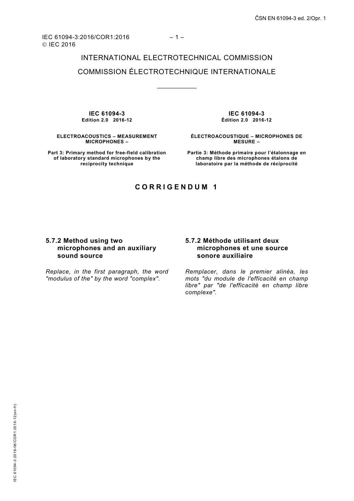IEC 61094-3:2016/COR1:2016 – 1 – © IEC 2016

# INTERNATIONAL ELECTROTECHNICAL COMMISSION

## COMMISSION ÉLECTROTECHNIQUE INTERNATIONALE

\_\_\_\_\_\_\_\_\_\_\_\_

**IEC 61094-3 Edition 2.0 2016-12**

**ELECTROACOUSTICS – MEASUREMENT MICROPHONES –** 

**Part 3: Primary method for free-field calibration of laboratory standard microphones by the reciprocity technique**

**IEC 61094-3 Édition 2.0 2016-12**

**ÉLECTROACOUSTIQUE – MICROPHONES DE MESURE –** 

**Partie 3: Méthode primaire pour l'étalonnage en champ libre des microphones étalons de laboratoire par la méthode de réciprocité**

## **CORRIGENDUM 1**

## **5.7.2 Method using two microphones and an auxiliary sound source**

*Replace, in the first paragraph, the word "modulus of the" by the word "complex".*

#### **5.7.2 Méthode utilisant deux microphones et une source sonore auxiliaire**

*Remplacer, dans le premier alinéa, les mots "du module de l'efficacité en champ libre" par "de l'efficacité en champ libre complexe".*